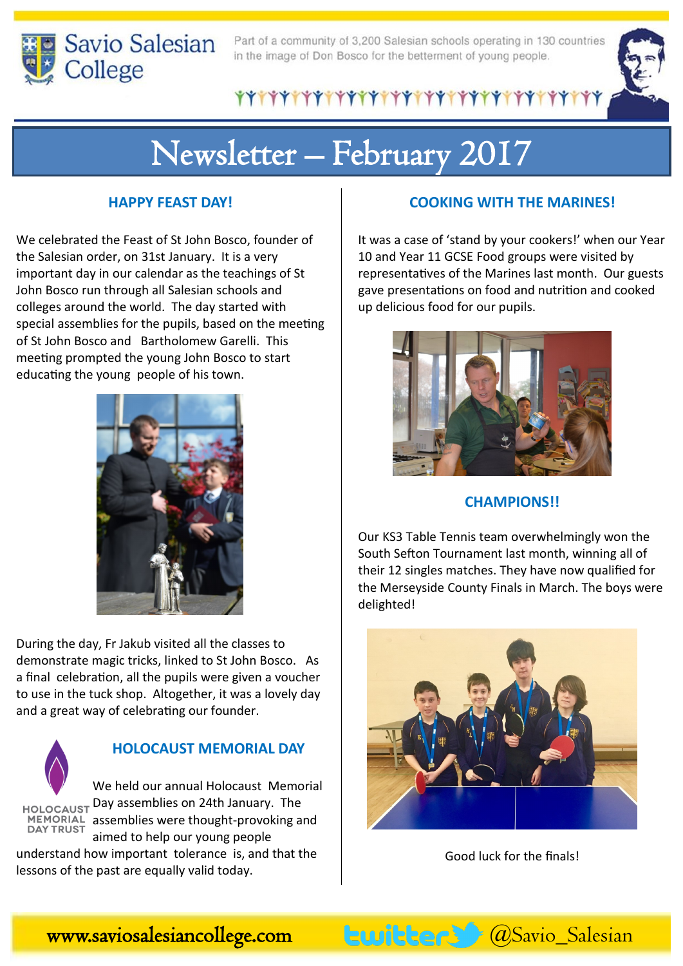

Part of a community of 3,200 Salesian schools operating in 130 countries in the image of Don Bosco for the betterment of young people.

## \*\*\*\*\*\*\*\*\*\*\*\*\*\*\*\*\*\*\*\*\*\*\*\*\*\*\*\*\*\*\*\*\*\*

# Newsletter – February 2017

#### **HAPPY FEAST DAY!**

We celebrated the Feast of St John Bosco, founder of the Salesian order, on 31st January. It is a very important day in our calendar as the teachings of St John Bosco run through all Salesian schools and colleges around the world. The day started with special assemblies for the pupils, based on the meeting of St John Bosco and Bartholomew Garelli. This meeting prompted the young John Bosco to start educating the young people of his town.



During the day, Fr Jakub visited all the classes to demonstrate magic tricks, linked to St John Bosco. As a final celebration, all the pupils were given a voucher to use in the tuck shop. Altogether, it was a lovely day and a great way of celebrating our founder.



### **HOLOCAUST MEMORIAL DAY**

We held our annual Holocaust Memorial HOLOCAUST Day assemblies on 24th January. The MEMORIAL assemblies were thought-provoking and **DAY TRUST** aimed to help our young people

understand how important tolerance is, and that the lessons of the past are equally valid today.

#### **COOKING WITH THE MARINES!**

It was a case of 'stand by your cookers!' when our Year 10 and Year 11 GCSE Food groups were visited by representatives of the Marines last month. Our guests gave presentations on food and nutrition and cooked up delicious food for our pupils.



#### **CHAMPIONS!!**

Our KS3 Table Tennis team overwhelmingly won the South Sefton Tournament last month, winning all of their 12 singles matches. They have now qualified for the Merseyside County Finals in March. The boys were delighted!



Good luck for the finals!

www.saviosalesiancollege.com buitters @Savio\_Salesian